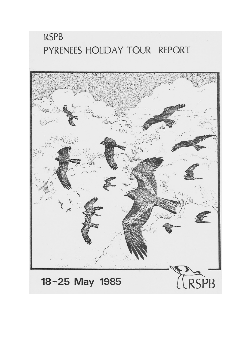# **RSPB** PYRENEES HOLIDAY TOUR REPORT

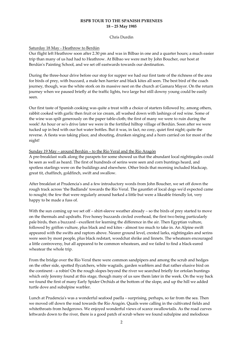# **RSPB TOUR TO THE SPANISH PYRENEES 18 – 25 May 1985**

#### Chris Durdin

## Saturday 18 May ‐ Heathrow to Berdún

Our flight left Heathrow soon after 2.30 pm and was in Bilbao in one and a quarter hours; a much easier trip than many of us had had to Heathrow. At Bilbao we were met by John Boucher, our host at Berdún's Painting School, and we set off eastwards towards our destination.

During the three‐hour drive before our stop for supper we had our first taste of the richness of the area for birds of prey, with buzzard, a male hen harrier and black kites all seen. The best bird of the coach journey, though, was the white stork on its massive nest on the church at Gamara Mayor. On the return journey when we paused briefly at the traffic lights, two large but still downy young could be easily seen.

Our first taste of Spanish cooking was quite a treat with a choice of starters followed by, among others, rabbit cooked with garlic then fruit or ice cream, all washed down with lashings of red wine. Some of the wine was spilt generously on the paper table‐cloth; the first of many we were to ruin during the week! An hour or so's drive later we were in the fortified hilltop village of Berdún. Soon after we were tucked up in bed with our hot water bottles. But it was, in fact, no cosy, quiet first night; quite the reverse. A fiesta was taking place, and shouting, drunken singing and a horn carried on for most of the night!

#### Sunday 19 May – around Berdún – to the Río Veral and the Río Aragón

A pre‐breakfast walk along the parapets for some showed us that the abundant local nightingales could be seen as well as heard. The first of hundreds of serins were seen and corn buntings heard, and spotless starlings were on the buildings and elsewhere. Other birds that morning included blackcap, great tit, chaffinch, goldfinch, swift and swallow.

After breakfast at Prudencia's and a few introductory words from John Boucher, we set off down the rough track across 'the Badlands' towards the Río Veral. The gauntlet of local dogs weʹd expected came to nought; the few that were regularly around barked a little but were a likeable friendly lot, very happy to be made a fuss of.

With the sun coming up we set off – shirt-sleeve weather already – so the birds of prey started to move on the thermals and updrafts. Five honey buzzards circled overhead, the first two being particularly pale birds, then a buzzard ‐ excellent for learning the difference in the air. Then Egyptian vulture, followed by griffon vulture, plus black and red kites ‐ almost too much to take in. An Alpine swift appeared with the swifts and raptors above. Nearer ground level, crested larks, nightingales and serins were seen by most people, plus black redstart, woodchat shrike and linnets. The wheatears encouraged a little controversy, but all appeared to be common wheatears, and we failed to find a black‐eared wheatear the whole trip.

From the bridge over the Río Veral there were common sandpipers and among the scrub and hedges on the other side, spotted flycatchers, white wagtails, garden warblers and that rather elusive bird on the continent - a robin! On the rough slopes beyond the river we searched briefly for ortolan buntings which only Jeremy found at this stage, though many of us saw them later in the week. On the way back we found the first of many Early Spider Orchids at the bottom of the slope, and up the hill we added turtle dove and subalpine warbler.

Lunch at Prudencia's was a wonderful seafood paella - surprising, perhaps, so far from the sea. Then we moved off down the road towards the Río Aragón. Quails were calling in the cultivated fields and whitethroats from hedgerows. We enjoyed wonderful views of scarce swallowtails. As the road curves leftwards down to the river, there is a good patch of scrub where we found subalpine and melodious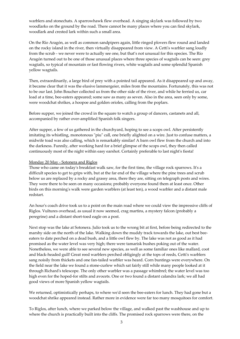warblers and stonechats. A sparrowhawk flew overhead. A singing skylark was followed by two woodlarks on the ground by the road. There cannot be many places where you can find skylark, woodlark and crested lark within such a small area.

On the Río Aragón, as well as common sandpipers again, little ringed plovers flew round and landed on the rocky island in the river, then virtually disappeared from view. A Cettiʹs warbler sang loudly from the scrub ‐ we never were to actually see one, but that's not unusual for this species. The Río Aragón turned out to be one of those unusual places where three species of wagtails can be seen: grey wagtails, so typical of mountain or fast flowing rivers, white wagtails and some splendid Spanish yellow wagtails.

Then, extraordinarily, a large bird of prey with a pointed tail appeared. As it disappeared up and away, it became clear that it was the elusive lammergeier, miles from the mountains. Fortunately, this was not to be our last. John Boucher collected us from the other side of the river, and while he ferried us, car load at a time, bee-eaters appeared; some saw as many as seven. Also in the area, seen only by some, were woodchat shrikes, a hoopoe and golden orioles, calling from the poplars.

Before supper, we joined the crowd in the square to watch a group of dancers, castanets and all, accompanied by rather over‐amplified Spanish folk singers.

After supper, a few of us gathered in the churchyard, hoping to see a scops owl. After persistently imitating its whistling, monotonous "piu" call, one briefly alighted on a wire. Just to confuse matters, a midwife toad was also calling, which is remarkably similar! A barn owl flew from the church and into the darkness. Funnily, after working hard for a brief glimpse of the scops owl, they then called continuously most of the night within easy earshot. Certainly preferable to last night's fiesta!

#### Monday 20 May ‐ Sotonera and Riglos

Those who came on todayʹs breakfast walk saw, for the first time, the village rock sparrows. Itʹs a difficult species to get to grips with, but at the far end of the village where the pine trees and scrub below us are replaced by a rocky and grassy area, there they are, sitting on telegraph posts and wires. They were there to be seen on many occasions; probably everyone found them at least once. Other birds on this morning's walk were garden warblers (at least ten), a wood warbler and a distant male redstart.

An hour's coach drive took us to a point on the main road where we could view the impressive cliffs of Riglos. Vultures overhead, as usual it now seemed, crag martins, a mystery falcon (probably a peregrine) and a distant short‐toed eagle on a post.

Next stop was the lake at Sotonera. Julio took us to the wrong bit at first, before being redirected to the marshy side on the north of the lake. Walking down the muddy track towards the lake, out best bee‐ eaters to date perched on a dead bush, and a little owl flew by. The lake was not as good as it had promised as the water level was very high; there were tamarisk bushes poking out of the water. Nonetheless, we were able to see several new species, as well as some familiar ones like mallard, coot and black-headed gull! Great reed warblers perched obligingly at the tops of reeds, Cetti's warblers sang noisily from thickets and one fan-tailed warbler was heard. Corn buntings were everywhere. On the field near the lake we found a stone‐curlew which sat fairly still while many people looked at it through Richardʹs telescope. The only other warbler was a passage whimbrel; the water level was too high even for the hoped-for stilts and avocets. One or two found a distant calandra lark; we all had good views of more Spanish yellow wagtails.

We returned, optimistically perhaps, to where we'd seen the bee-eaters for lunch. They had gone but a woodchat shrike appeared instead. Rather more in evidence were far too many mosquitoes for comfort.

To Riglos, after lunch, where we parked below the village, and walked past the washhouse and up to where the church is practically built into the cliffs. The promised rock sparrows were there, on the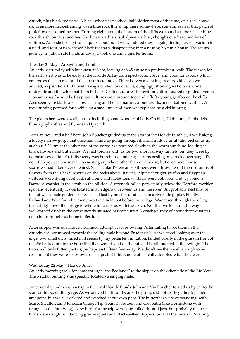church, plus black redstarts. A black wheatear perched, half hidden most of the time, on a rock above us. Even more neck‐straining was a blue rock thrush up there somewhere; sometimes near that patch of pink flowers, sometimes not. Turning right along the bottom of the cliffs we found a rather easier blue rock thrush, our first and best Sardinian warblers, subalpine warbler, choughs overhead and lots of vultures. After sheltering from a quick cloud burst we wandered down again, finding tassel hyacinth in a field, and four of us watched black redstarts disappearing into a nesting hole in a house. The return journey, in Julio's safe hands as always, took one and a quarter hours.

## Tuesday 2l May ‐ Arbayún and Lumbier

An early start today with breakfast at 8 am, leaving at 8.45 am so no pre-breakfast walk. The reason for the early start was to be early at the Hoz de Arbayún, a spectacular gorge, and good for raptors which emerge as the sun rises and the air starts to move. There is even a viewing area provided. As we arrived, a splendid adult Bonelliʹs eagle circled low over us, obligingly showing us both its white underside and the white patch on its back. Griffon vulture after griffon vulture soared or glided over us ‐ too amazing for words. Egyptian vultures were around too, and a fluffy young griffon on the cliffs. Also seen were blackcaps below us, crag and house martins, alpine swifts, and subalpine warbler. A rock bunting perched for a while on a small tree and then was replaced by a cirl bunting.

The plants here were excellent too, including some wonderful Lady Orchids, Globularia, Asphodels, Blue Aphyllanthes and Pyrenean Hyacinth.

After an hour and a half here, John Boucher guided us to the start of the Hoz de Lumbier, a walk along a lovely narrow gorge that once had a railway going through it. From midday until Julio picked us up at about 5.30 pm at the other end of the gorge, we pottered slowly in the warm sunshine, looking at birds, flowers and butterflies. We had torches with us for two short railway tunnels, but they were by no means essential. First discovery was both house and crag martins nesting on a rocky overhang. Itʹs not often you see house martins nesting anywhere other than on a house, but even here, house sparrows had taken over one nest. Spectacular Pyrenean Saxifrages were throwing out their columns of flowers from their basal rosettes on the rocks above. Ravens, Alpine choughs, griffon and Egyptian vultures were flying overhead; subalpine and melodious warblers were both seen and, by some, a Dartford warbler in the scrub on the hillside. A wryneck called persistently below the Dartford warbler spot and eventually it was located in a hedgerow between us and the river. But probably best bird of the lot was a male golden oriole, seen at last by most of us at least, in a riverside poplar. Finally, Richard and Wyn found a tawny pipit in a field just before the village. Wandered through the village, turned right over the bridge to where Julio met us with the coach. Not that we left straightaway - a well-earned drink in the conveniently situated bar came first! A coach journey of about three-quarters of an hour brought us home to Berdún.

After supper was our most determined attempt at scops owling. After failing to see them in the churchyard, we moved towards the calling male beyond Prudencia's. As we stood looking over the edge, two small owls, lured in it seems by my persistent imitation, landed briefly in the grass in front of us. We backed off, in the hope that they would land on the rail and be silhouetted in the twilight. The two small owls flitted past us, perhaps just fifteen feet away. We didnʹt see them well enough to be certain that they were scops owls on shape, but I think none of us really doubted what they were.

# Wednesday 22 May ‐ Hoz de Biniés

An early morning walk for some through "the Badlands" to the slopes on the other side of the Río Veral. The o rtolan bunting was speedily located ‐ a singing male.

An easier day today with a trip to the local Hoz de Biniés. John and Viv Boucher ferried us by car to the start of this splendid gorge. As we arrived in fits and starts the group did not really gather together at any point, but we all explored and watched at our own pace. The butterflies were outstanding, with Scarce Swallowtail, Moroccan Orange Tip, Spanish Festoon and Cleopatra (like a brimstone with orange on the fore-wing). New birds for the trip were long-tailed tits and jays, but probably the best birds were delightful, dancing grey wagtails and black‐bellied dippers towards the far end. Rivalling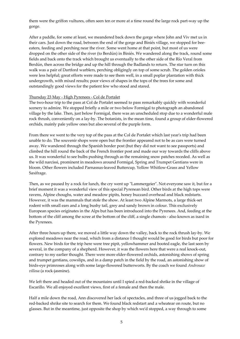them were the griffon vultures, often seen ten or more at a time round the large rock part‐way up the gorge.

After a paddle, for some at least, we meandered back down the gorge where John and Viv met us in their cars. Just down the road, between the end of the gorge and Biniés village, we stopped for bee‐ eaters, feeding and perching near the river. Some went home at that point, but most of us were dropped on the other side of the river (to Berdún) in Biniés. We wandered along the track, round some fields and back onto the track which brought us eventually to the other side of the Río Veral from Berdún, then across the bridge and up the hill through the Badlands to return. The star turn on this walk was a pair of Dartford warblers, perching obligingly on top of some scrub. The golden orioles were less helpful; great efforts were made to see them well, in a small poplar plantation with thick undergrowth, with mixed results; poor views of shapes in the tops of the trees for some and outstandingly good views for the patient few who stood and stared.

# Thursday 23 May ‐ High Pyrenees ‐ Col de Portalet

The two-hour trip to the pass at Col de Portalet seemed to pass remarkably quickly with wonderful scenery to admire. We stopped briefly a mile or two below Formigal to photograph an abandoned village by the lake. Then, just below Formigal, there was an unscheduled stop due to a wonderful male rock thrush, conveniently on a lay‐by. The botanists, in the mean time, found a group of elder‐flowered orchids, mainly pale yellow ones but also several of the purple form.

From there we went to the very top of the pass at the Col de Portalet which last year's trip had been unable to do. The souvenir shops were open but the frontier appeared not to be as cars were turned away. We wandered through the Spanish border post (but they did not want to see passports) and climbed the hill round the back of the French frontier post and made our way towards the cliffs above us. It was wonderful to see bulbs pushing through as the remaining snow patches receded. As well as the wild narcissi, prominent in meadows around Formigal, Spring and Trumpet Gentians were in bloom. Other flowers included Parnassus‐leaved Buttercup, Yellow Whitlow‐Grass and Yellow Saxifrage.

Then, as we paused by a rock for lunch, the cry went up "Lammergeier". Not everyone saw it, but for a brief moment it was a wonderful view of this special Pyrenean bird. Other birds at the high tops were ravens, Alpine choughs, water and meadow pipits, honey buzzard overhead and black redstarts. However, it was the mammals that stole the show. At least two Alpine Marmots, a large thick-set rodent with small ears and a long bushy tail, grey and sandy brown in colour. This exclusively European species originates in the Alps but has been introduced into the Pyrenees. And, feeding at the bottom of the cliff among the scree at the bottom of the cliff, a single chamois ‐ also known as isard in the Pyrenees.

After three hours up there, we moved a little way down the valley, back to the rock thrush lay‐by. We explored meadows near the road, which from a distance I thought would be good for birds but poor for flowers. New birds for the trip here were tree pipit, yellowhammer and booted eagle, the last seen by several, in the company of a shepherd. However, it was the flowers here that were a real knock-out, contrary to my earlier thought. There were more elder-flowered orchids, astonishing shows of spring and trumpet gentians, cowslips, and in a damp patch in the field by the road, an astonishing show of birds‐eye primroses along with some large‐flowered butterworts. By the coach we found *Androsace villosa* (a rock‐jasmine).

We left there and headed out of the mountains until I spied a red-backed shrike in the village of Escarillo. We all enjoyed excellent views, first of a female and then the male.

Half a mile down the road, Ann discovered her lack of spectacles, and three of us jogged back to the red‐backed shrike site to search for them. We found black redstart and a wheatear on route, but no glasses. But in the meantime, just opposite the shop by which weʹd stopped, a way through to some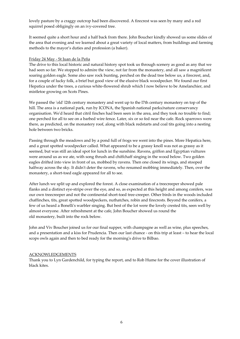lovely pasture by a craggy outcrop had been discovered. A firecrest was seen by many and a red squirrel posed obligingly on an ivy‐covered tree.

It seemed quite a short hour and a half back from there. John Boucher kindly showed us some slides of the area that evening and we learned about a great variety of local matters, from buildings and farming methods to the mayor's duties and profession (a baker).

## Friday 24 May ‐ St Juan de la Peña

The drive to this local historic and natural history spot took us through scenery as good as any that we had seen so far. We stopped to admire the view, not far from the monastery, and all saw a magnificent soaring golden eagle. Some also saw rock bunting, perched on the dead tree below us, a firecrest, and, for a couple of lucky folk, a brief but good view of the elusive black woodpecker. We found our first Hepatica under the trees, a curious white‐flowered shrub which I now believe to be Amelanchier, and mistletoe growing on Scots Pines.

We passed the 'old' 12th century monastery and went up to the 17th century monastery on top of the hill. The area is a national park, run by ICONA, the Spanish national parks/nature conservancy organisation. Weʹd heard that citril finches had been seen in the area, and they took no trouble to find; one perched for all to see on a barbed wire fence. Later, six or so fed near the cafe. Rock sparrows were there, as predicted, on the monastery roof, along with black redstarts and coal tits going into a nesting hole between two bricks.

Passing through the meadows and by a pond full of frogs we went into the pines. More Hepatica here, and a great spotted woodpecker called. What appeared to be a grassy knoll was not as grassy as it seemed, but was still an ideal spot for lunch in the sunshine. Ravens, griffon and Egyptian vultures were around us as we ate, with song thrush and chiffchaff singing in the wood below. Two golden eagles drifted into view in front of us, mobbed by ravens. Then one closed its wings, and stooped halfway across the sky. It didn't deter the ravens, who resumed mobbing immediately. Then, over the monastery, a short-toed eagle appeared for all to see.

After lunch we split up and explored the forest. A close examination of a treecreeper showed pale flanks and a distinct eye‐stripe over the eye, and so, as expected at this height and among conifers, was our own treecreeper and not the continental short-toed tree-creeper. Other birds in the woods included chaffinches, tits, great spotted woodpeckers, nuthatches, robin and firecrests. Beyond the conifers, a few of us heard a Bonelliʹs warbler singing. But best of the lot were the lovely crested tits, seen well by almost everyone. After refreshment at the cafe, John Boucher showed us round the old monastery, built into the rock below.

John and Viv Boucher joined us for our final supper, with champagne as well as wine, plus speeches, and a presentation and a kiss for Prudencia. Then our last chance ‐ on this trip at least – to hear the local scops owls again and then to bed ready for the morning's drive to Bilbao.

# ACKNOWLEDGEMENTS

Thank you to Lyn Gardenchild, for typing the report, and to Rob Hume for the cover illustration of black kites.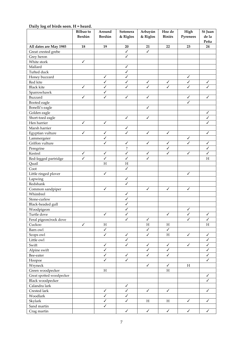|                          | <b>Bilbao</b> to | Around                    | Sotonera                | Arbayún                   | Hoz de                    | High                      | St Juan                   |
|--------------------------|------------------|---------------------------|-------------------------|---------------------------|---------------------------|---------------------------|---------------------------|
|                          | Berdún           | Berdún                    | & Riglos                | & Riglos                  | <b>Biniés</b>             | Pyrenees                  | de la                     |
|                          |                  |                           |                         |                           |                           |                           | Peña                      |
| All dates are May 1985   | 18               | 19                        | 20                      | 21                        | 22                        | 23                        | 24                        |
| Great crested grebe      |                  |                           | $\checkmark$            | $\checkmark$              |                           |                           |                           |
| Grey heron               |                  |                           | ✓                       |                           |                           |                           |                           |
| White stork              | $\checkmark$     |                           |                         |                           |                           |                           |                           |
| Mallard                  |                  |                           | ✓                       |                           |                           |                           |                           |
| Tufted duck              |                  |                           | $\checkmark$            |                           |                           |                           |                           |
| Honey buzzard            |                  | $\checkmark$              | $\checkmark$            |                           |                           | $\checkmark$              |                           |
| Red kite                 |                  | $\checkmark$              | ✓                       | $\checkmark$              | $\checkmark$              | ✓                         | ✓                         |
| <b>Black kite</b>        | $\checkmark$     | $\checkmark$              | $\checkmark$            | $\checkmark$              | $\checkmark$              | $\checkmark$              | $\overline{\mathscr{S}}$  |
| Sparrowhawk              |                  | $\checkmark$              |                         |                           |                           |                           |                           |
| Buzzard                  | $\checkmark$     | $\checkmark$              | ✓                       | ✓                         |                           | ✓                         | ✓                         |
| Booted eagle             |                  |                           |                         |                           |                           | ✓                         |                           |
| Bonelli's eagle          |                  |                           |                         | $\checkmark$              |                           |                           |                           |
| Golden eagle             |                  |                           |                         |                           |                           |                           | $\checkmark$              |
| Short-toed eagle         |                  |                           | ✓                       | $\checkmark$              |                           |                           | $\checkmark$              |
| Hen harrier              | ✓                | $\checkmark$              |                         |                           |                           |                           | ✓                         |
|                          |                  |                           | $\checkmark$            |                           |                           |                           |                           |
| Marsh harrier            | ✓                |                           | J                       |                           |                           |                           |                           |
| Egyptian vulture         |                  | $\checkmark$              |                         | $\checkmark$              | ✓                         |                           | ✓                         |
| Lammergeier              |                  | ✓                         |                         |                           |                           | ✓                         |                           |
| Griffon vulture          |                  | $\checkmark$              | ✓                       | $\checkmark$              | ✓                         | ✓                         | ✓                         |
| Peregrine                |                  |                           | $\overline{\cdot}$      |                           | $\checkmark$              |                           | ✓                         |
| Kestrel                  | ✓                | ✓                         | $\checkmark$            | ✓                         | ✓                         | $\checkmark$              | $\checkmark$              |
| Red-legged partridge     | $\checkmark$     | $\checkmark$              | $\checkmark$            | $\checkmark$              |                           |                           | H                         |
| Quail                    |                  | $\boldsymbol{\mathrm{H}}$ | Η                       |                           |                           |                           |                           |
| Coot                     |                  |                           | $\checkmark$            |                           |                           |                           |                           |
| Little ringed plover     |                  | $\checkmark$              |                         |                           |                           | $\checkmark$              |                           |
| Lapwing                  |                  |                           | ✓                       |                           |                           |                           |                           |
| Redshank                 |                  |                           | $\overline{\checkmark}$ |                           |                           |                           |                           |
| Common sandpiper         |                  | ✓                         |                         | $\checkmark$              | $\checkmark$              | $\checkmark$              |                           |
| Whimbrel                 |                  |                           | ✓                       |                           |                           |                           |                           |
| Stone-curlew             |                  |                           | ✓                       |                           |                           |                           |                           |
| Black-headed gull        |                  |                           | ✓                       |                           |                           |                           |                           |
| Woodpigeon               |                  |                           | ✓                       |                           |                           | ✓                         |                           |
| Turtle dove              |                  | ✓                         | $\checkmark$            |                           | $\checkmark$              | $\checkmark$              | $\checkmark$              |
| Feral pigeon/rock dove   |                  |                           | $\checkmark$            | $\checkmark$              |                           | ✓                         | ✓                         |
| Cuckoo                   | $\sqrt{2}$       | $\boldsymbol{\mathrm{H}}$ |                         | $\boldsymbol{\mathrm{H}}$ | $H_{\rm}$                 |                           | $\boldsymbol{\mathrm{H}}$ |
| Barn owl                 |                  | $\checkmark$              |                         | $\checkmark$              | $\checkmark$              |                           |                           |
| Scops owl                |                  | $\checkmark$              | $\checkmark$            | ✓                         | $H_{\rm}$                 | $\checkmark$              | $\checkmark$              |
| Little owl               |                  |                           | $\checkmark$            |                           |                           |                           | $\checkmark$              |
| Swift                    |                  | $\checkmark$              | $\checkmark$            | $\checkmark$              | $\checkmark$              | ✓                         | $\checkmark$              |
| Alpine swift             |                  | $\checkmark$              |                         | ✓                         | ✓                         |                           | ✓                         |
|                          |                  | $\checkmark$              | $\checkmark$            | $\checkmark$              | $\checkmark$              |                           | ✓                         |
| Bee-eater                |                  | $\checkmark$              | $\checkmark$            |                           |                           |                           | ✓                         |
| Hoopoe                   |                  |                           |                         |                           |                           |                           |                           |
| Wryneck                  |                  |                           |                         | $\checkmark$              | $\checkmark$              | $\boldsymbol{\mathrm{H}}$ |                           |
| Green woodpecker         |                  | $\boldsymbol{\mathrm{H}}$ |                         |                           | $\boldsymbol{\mathrm{H}}$ |                           |                           |
| Great spotted woodpecker |                  |                           |                         |                           |                           |                           | $\checkmark$              |
| <b>Black woodpecker</b>  |                  |                           |                         |                           |                           |                           | ✓                         |
| Calandra lark            |                  |                           | $\checkmark$            |                           |                           |                           |                           |
| Crested lark             |                  | ✓                         | ✓                       | $\checkmark$              | ✓                         |                           | ✓                         |
| Woodlark                 |                  | $\checkmark$              | $\checkmark$            |                           |                           |                           |                           |
| Skylark                  |                  | $\checkmark$              | $\checkmark$            | $\rm H$                   | $\rm H$                   | $\checkmark$              | ✓                         |
| Sand martin              |                  | $\checkmark$              |                         |                           |                           |                           |                           |
| Crag martin              |                  |                           | $\checkmark$            | $\checkmark$              | $\checkmark$              | $\checkmark$              | ✓                         |

# **Daily log of birds seen. H = heard.**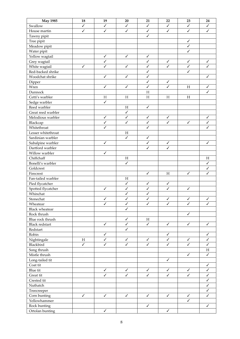| $\checkmark$<br>$\checkmark$<br>$\checkmark$<br>$\checkmark$<br>Swallow<br>✓<br>✓<br>✓<br>$\checkmark$<br>$\checkmark$<br>$\checkmark$<br>$\checkmark$<br>$\checkmark$<br>$\checkmark$<br>$\checkmark$<br>House martin<br>$\checkmark$<br>Tawny pipit<br>$\checkmark$<br>Tree pipit<br>Meadow pipit<br>$\checkmark$<br>✓<br>Water pipit<br>$\checkmark$<br>$\checkmark$<br>✓<br>Yellow wagtail<br>$\checkmark$<br>✓<br>$\checkmark$<br>$\checkmark$<br>Grey wagtail<br>✓<br>$\checkmark$<br>$\checkmark$<br>$\checkmark$<br>✓<br>$\checkmark$<br>✓<br>White wagtail<br>✓<br>Red-backed shrike<br>✓<br>✓<br>Woodchat shrike<br>$\checkmark$<br>$\checkmark$<br>$\checkmark$<br>$\checkmark$<br>$\checkmark$<br>$\checkmark$<br>Dipper<br>$\checkmark$<br>$\checkmark$<br>$\checkmark$<br>$\checkmark$<br>H<br>Wren<br>✓<br>Dunnock<br>$\boldsymbol{\mathrm{H}}$<br>Cetti's warbler<br>$\boldsymbol{\mathrm{H}}$<br>$\boldsymbol{\mathrm{H}}$<br>$H_{\rm}$<br>$H_{\rm}$<br>H<br>$\checkmark$<br>Sedge warbler<br>$\checkmark$<br>Reed warbler<br>$\boldsymbol{\mathrm{H}}$<br>$\checkmark$<br>Great reed warbler<br>Melodious warbler<br>$\checkmark$<br>$\checkmark$<br>✓<br>$\checkmark$<br>✓<br>$\checkmark$<br>$\checkmark$<br>$\checkmark$<br>Blackcap<br>✓<br>✓<br>✓<br>$\checkmark$<br>Whitethroat<br>✓<br>✓<br>Lesser whitethroat<br>Η<br>$\checkmark$<br>✓<br>Sardinian warbler<br>$\checkmark$<br>Subalpine warbler<br>✓<br>$\checkmark$<br>$\checkmark$<br>$\checkmark$<br>✓<br>Dartford warbler<br>$\checkmark$<br>Willow warbler<br>Chiffchaff<br>$H_{\rm}$<br>H<br>$\checkmark$<br>$\checkmark$<br>Bonelli's warbler<br>Goldcrest<br>✓<br>$\checkmark$<br>Firecrest<br>$\checkmark$<br>H<br>✓<br>Fan-tailed warbler<br>H<br>$\checkmark$<br>$\checkmark$<br>$\checkmark$<br>Pied flycatcher<br>$\checkmark$<br>$\checkmark$<br>$\checkmark$<br>Spotted flycatcher<br>✓<br>✓<br>$\checkmark$<br>$\checkmark$<br>Whinchat<br>Stonechat<br>$\checkmark$<br>$\checkmark$<br>$\checkmark$<br>$\overline{\checkmark}$<br>$\checkmark$<br>$\checkmark$<br>$\checkmark$<br>$\overline{\checkmark}$<br>$\overline{\checkmark}$<br>$\overline{\checkmark}$<br>$\checkmark$<br>$\checkmark$<br>Wheatear<br>$\checkmark$<br><b>Black wheatear</b><br>Rock thrush<br>$\checkmark$<br>$\checkmark$<br>Blue rock thrush<br>$\mathbf H$<br><b>Black redstart</b><br>$\checkmark$<br>$\checkmark$<br>$\checkmark$<br>$\checkmark$<br>$\checkmark$<br>$\checkmark$<br>$\checkmark$<br>Redstart<br>$\checkmark$<br>Robin<br>$\checkmark$<br>$\checkmark$<br>Nightingale<br>$\checkmark$<br>$\boldsymbol{\mathrm{H}}$<br>$\checkmark$<br>$\checkmark$<br>$\checkmark$<br>$\checkmark$<br>$\checkmark$<br>$\overline{\checkmark}$<br>$\overline{\checkmark}$<br>$\checkmark$<br>$\checkmark$<br>$\checkmark$<br>$\checkmark$<br>$\checkmark$<br>Blackbird<br>Song thrush<br>$\mathbf H$<br>$\checkmark$<br>Mistle thrush<br>$\checkmark$<br>Long-tailed tit<br>$\checkmark$<br>Coat tit<br>$\checkmark$<br>Blue tit<br>$\checkmark$<br>$\checkmark$<br>$\checkmark$<br>$\checkmark$<br>$\checkmark$<br>✓<br>$\checkmark$<br>$\checkmark$<br>$\checkmark$<br>$\checkmark$<br>$\checkmark$<br>$\checkmark$<br>Great tit<br>$\checkmark$<br>Crested tit<br>$\checkmark$<br>Nuthatch<br>$\checkmark$<br>Treecreeper<br>$\checkmark$<br>$\checkmark$<br>$\checkmark$<br>$\checkmark$<br>$\checkmark$<br>$\checkmark$<br>Corn bunting<br>$\checkmark$<br>Yellowhammer<br>✓<br>Rock bunting<br>$\checkmark$<br>$\checkmark$<br>$\checkmark$<br>$\checkmark$ | <b>May 1985</b> | 18 | 19 | $20\,$ | 21 | 22 | 23 | 24 |
|---------------------------------------------------------------------------------------------------------------------------------------------------------------------------------------------------------------------------------------------------------------------------------------------------------------------------------------------------------------------------------------------------------------------------------------------------------------------------------------------------------------------------------------------------------------------------------------------------------------------------------------------------------------------------------------------------------------------------------------------------------------------------------------------------------------------------------------------------------------------------------------------------------------------------------------------------------------------------------------------------------------------------------------------------------------------------------------------------------------------------------------------------------------------------------------------------------------------------------------------------------------------------------------------------------------------------------------------------------------------------------------------------------------------------------------------------------------------------------------------------------------------------------------------------------------------------------------------------------------------------------------------------------------------------------------------------------------------------------------------------------------------------------------------------------------------------------------------------------------------------------------------------------------------------------------------------------------------------------------------------------------------------------------------------------------------------------------------------------------------------------------------------------------------------------------------------------------------------------------------------------------------------------------------------------------------------------------------------------------------------------------------------------------------------------------------------------------------------------------------------------------------------------------------------------------------------------------------------------------------------------------------------------------------------------------------------------------------------------------------------------------------------------------------------------------------------------------------------------------------------------------------------------------------------------------------------------------------------------------------------------------------------------------------------------------------------------------------------------------------------------------------------------------------------------------------------------------------------------------------------------------------------------------------------------------------------------------------------------------------------------------------------------------------------------------------------------------------------------------------------------------------------------------------|-----------------|----|----|--------|----|----|----|----|
|                                                                                                                                                                                                                                                                                                                                                                                                                                                                                                                                                                                                                                                                                                                                                                                                                                                                                                                                                                                                                                                                                                                                                                                                                                                                                                                                                                                                                                                                                                                                                                                                                                                                                                                                                                                                                                                                                                                                                                                                                                                                                                                                                                                                                                                                                                                                                                                                                                                                                                                                                                                                                                                                                                                                                                                                                                                                                                                                                                                                                                                                                                                                                                                                                                                                                                                                                                                                                                                                                                                                             |                 |    |    |        |    |    |    |    |
|                                                                                                                                                                                                                                                                                                                                                                                                                                                                                                                                                                                                                                                                                                                                                                                                                                                                                                                                                                                                                                                                                                                                                                                                                                                                                                                                                                                                                                                                                                                                                                                                                                                                                                                                                                                                                                                                                                                                                                                                                                                                                                                                                                                                                                                                                                                                                                                                                                                                                                                                                                                                                                                                                                                                                                                                                                                                                                                                                                                                                                                                                                                                                                                                                                                                                                                                                                                                                                                                                                                                             |                 |    |    |        |    |    |    |    |
|                                                                                                                                                                                                                                                                                                                                                                                                                                                                                                                                                                                                                                                                                                                                                                                                                                                                                                                                                                                                                                                                                                                                                                                                                                                                                                                                                                                                                                                                                                                                                                                                                                                                                                                                                                                                                                                                                                                                                                                                                                                                                                                                                                                                                                                                                                                                                                                                                                                                                                                                                                                                                                                                                                                                                                                                                                                                                                                                                                                                                                                                                                                                                                                                                                                                                                                                                                                                                                                                                                                                             |                 |    |    |        |    |    |    |    |
|                                                                                                                                                                                                                                                                                                                                                                                                                                                                                                                                                                                                                                                                                                                                                                                                                                                                                                                                                                                                                                                                                                                                                                                                                                                                                                                                                                                                                                                                                                                                                                                                                                                                                                                                                                                                                                                                                                                                                                                                                                                                                                                                                                                                                                                                                                                                                                                                                                                                                                                                                                                                                                                                                                                                                                                                                                                                                                                                                                                                                                                                                                                                                                                                                                                                                                                                                                                                                                                                                                                                             |                 |    |    |        |    |    |    |    |
|                                                                                                                                                                                                                                                                                                                                                                                                                                                                                                                                                                                                                                                                                                                                                                                                                                                                                                                                                                                                                                                                                                                                                                                                                                                                                                                                                                                                                                                                                                                                                                                                                                                                                                                                                                                                                                                                                                                                                                                                                                                                                                                                                                                                                                                                                                                                                                                                                                                                                                                                                                                                                                                                                                                                                                                                                                                                                                                                                                                                                                                                                                                                                                                                                                                                                                                                                                                                                                                                                                                                             |                 |    |    |        |    |    |    |    |
|                                                                                                                                                                                                                                                                                                                                                                                                                                                                                                                                                                                                                                                                                                                                                                                                                                                                                                                                                                                                                                                                                                                                                                                                                                                                                                                                                                                                                                                                                                                                                                                                                                                                                                                                                                                                                                                                                                                                                                                                                                                                                                                                                                                                                                                                                                                                                                                                                                                                                                                                                                                                                                                                                                                                                                                                                                                                                                                                                                                                                                                                                                                                                                                                                                                                                                                                                                                                                                                                                                                                             |                 |    |    |        |    |    |    |    |
|                                                                                                                                                                                                                                                                                                                                                                                                                                                                                                                                                                                                                                                                                                                                                                                                                                                                                                                                                                                                                                                                                                                                                                                                                                                                                                                                                                                                                                                                                                                                                                                                                                                                                                                                                                                                                                                                                                                                                                                                                                                                                                                                                                                                                                                                                                                                                                                                                                                                                                                                                                                                                                                                                                                                                                                                                                                                                                                                                                                                                                                                                                                                                                                                                                                                                                                                                                                                                                                                                                                                             |                 |    |    |        |    |    |    |    |
|                                                                                                                                                                                                                                                                                                                                                                                                                                                                                                                                                                                                                                                                                                                                                                                                                                                                                                                                                                                                                                                                                                                                                                                                                                                                                                                                                                                                                                                                                                                                                                                                                                                                                                                                                                                                                                                                                                                                                                                                                                                                                                                                                                                                                                                                                                                                                                                                                                                                                                                                                                                                                                                                                                                                                                                                                                                                                                                                                                                                                                                                                                                                                                                                                                                                                                                                                                                                                                                                                                                                             |                 |    |    |        |    |    |    |    |
|                                                                                                                                                                                                                                                                                                                                                                                                                                                                                                                                                                                                                                                                                                                                                                                                                                                                                                                                                                                                                                                                                                                                                                                                                                                                                                                                                                                                                                                                                                                                                                                                                                                                                                                                                                                                                                                                                                                                                                                                                                                                                                                                                                                                                                                                                                                                                                                                                                                                                                                                                                                                                                                                                                                                                                                                                                                                                                                                                                                                                                                                                                                                                                                                                                                                                                                                                                                                                                                                                                                                             |                 |    |    |        |    |    |    |    |
|                                                                                                                                                                                                                                                                                                                                                                                                                                                                                                                                                                                                                                                                                                                                                                                                                                                                                                                                                                                                                                                                                                                                                                                                                                                                                                                                                                                                                                                                                                                                                                                                                                                                                                                                                                                                                                                                                                                                                                                                                                                                                                                                                                                                                                                                                                                                                                                                                                                                                                                                                                                                                                                                                                                                                                                                                                                                                                                                                                                                                                                                                                                                                                                                                                                                                                                                                                                                                                                                                                                                             |                 |    |    |        |    |    |    |    |
|                                                                                                                                                                                                                                                                                                                                                                                                                                                                                                                                                                                                                                                                                                                                                                                                                                                                                                                                                                                                                                                                                                                                                                                                                                                                                                                                                                                                                                                                                                                                                                                                                                                                                                                                                                                                                                                                                                                                                                                                                                                                                                                                                                                                                                                                                                                                                                                                                                                                                                                                                                                                                                                                                                                                                                                                                                                                                                                                                                                                                                                                                                                                                                                                                                                                                                                                                                                                                                                                                                                                             |                 |    |    |        |    |    |    |    |
|                                                                                                                                                                                                                                                                                                                                                                                                                                                                                                                                                                                                                                                                                                                                                                                                                                                                                                                                                                                                                                                                                                                                                                                                                                                                                                                                                                                                                                                                                                                                                                                                                                                                                                                                                                                                                                                                                                                                                                                                                                                                                                                                                                                                                                                                                                                                                                                                                                                                                                                                                                                                                                                                                                                                                                                                                                                                                                                                                                                                                                                                                                                                                                                                                                                                                                                                                                                                                                                                                                                                             |                 |    |    |        |    |    |    |    |
|                                                                                                                                                                                                                                                                                                                                                                                                                                                                                                                                                                                                                                                                                                                                                                                                                                                                                                                                                                                                                                                                                                                                                                                                                                                                                                                                                                                                                                                                                                                                                                                                                                                                                                                                                                                                                                                                                                                                                                                                                                                                                                                                                                                                                                                                                                                                                                                                                                                                                                                                                                                                                                                                                                                                                                                                                                                                                                                                                                                                                                                                                                                                                                                                                                                                                                                                                                                                                                                                                                                                             |                 |    |    |        |    |    |    |    |
|                                                                                                                                                                                                                                                                                                                                                                                                                                                                                                                                                                                                                                                                                                                                                                                                                                                                                                                                                                                                                                                                                                                                                                                                                                                                                                                                                                                                                                                                                                                                                                                                                                                                                                                                                                                                                                                                                                                                                                                                                                                                                                                                                                                                                                                                                                                                                                                                                                                                                                                                                                                                                                                                                                                                                                                                                                                                                                                                                                                                                                                                                                                                                                                                                                                                                                                                                                                                                                                                                                                                             |                 |    |    |        |    |    |    |    |
|                                                                                                                                                                                                                                                                                                                                                                                                                                                                                                                                                                                                                                                                                                                                                                                                                                                                                                                                                                                                                                                                                                                                                                                                                                                                                                                                                                                                                                                                                                                                                                                                                                                                                                                                                                                                                                                                                                                                                                                                                                                                                                                                                                                                                                                                                                                                                                                                                                                                                                                                                                                                                                                                                                                                                                                                                                                                                                                                                                                                                                                                                                                                                                                                                                                                                                                                                                                                                                                                                                                                             |                 |    |    |        |    |    |    |    |
|                                                                                                                                                                                                                                                                                                                                                                                                                                                                                                                                                                                                                                                                                                                                                                                                                                                                                                                                                                                                                                                                                                                                                                                                                                                                                                                                                                                                                                                                                                                                                                                                                                                                                                                                                                                                                                                                                                                                                                                                                                                                                                                                                                                                                                                                                                                                                                                                                                                                                                                                                                                                                                                                                                                                                                                                                                                                                                                                                                                                                                                                                                                                                                                                                                                                                                                                                                                                                                                                                                                                             |                 |    |    |        |    |    |    |    |
|                                                                                                                                                                                                                                                                                                                                                                                                                                                                                                                                                                                                                                                                                                                                                                                                                                                                                                                                                                                                                                                                                                                                                                                                                                                                                                                                                                                                                                                                                                                                                                                                                                                                                                                                                                                                                                                                                                                                                                                                                                                                                                                                                                                                                                                                                                                                                                                                                                                                                                                                                                                                                                                                                                                                                                                                                                                                                                                                                                                                                                                                                                                                                                                                                                                                                                                                                                                                                                                                                                                                             |                 |    |    |        |    |    |    |    |
|                                                                                                                                                                                                                                                                                                                                                                                                                                                                                                                                                                                                                                                                                                                                                                                                                                                                                                                                                                                                                                                                                                                                                                                                                                                                                                                                                                                                                                                                                                                                                                                                                                                                                                                                                                                                                                                                                                                                                                                                                                                                                                                                                                                                                                                                                                                                                                                                                                                                                                                                                                                                                                                                                                                                                                                                                                                                                                                                                                                                                                                                                                                                                                                                                                                                                                                                                                                                                                                                                                                                             |                 |    |    |        |    |    |    |    |
|                                                                                                                                                                                                                                                                                                                                                                                                                                                                                                                                                                                                                                                                                                                                                                                                                                                                                                                                                                                                                                                                                                                                                                                                                                                                                                                                                                                                                                                                                                                                                                                                                                                                                                                                                                                                                                                                                                                                                                                                                                                                                                                                                                                                                                                                                                                                                                                                                                                                                                                                                                                                                                                                                                                                                                                                                                                                                                                                                                                                                                                                                                                                                                                                                                                                                                                                                                                                                                                                                                                                             |                 |    |    |        |    |    |    |    |
|                                                                                                                                                                                                                                                                                                                                                                                                                                                                                                                                                                                                                                                                                                                                                                                                                                                                                                                                                                                                                                                                                                                                                                                                                                                                                                                                                                                                                                                                                                                                                                                                                                                                                                                                                                                                                                                                                                                                                                                                                                                                                                                                                                                                                                                                                                                                                                                                                                                                                                                                                                                                                                                                                                                                                                                                                                                                                                                                                                                                                                                                                                                                                                                                                                                                                                                                                                                                                                                                                                                                             |                 |    |    |        |    |    |    |    |
|                                                                                                                                                                                                                                                                                                                                                                                                                                                                                                                                                                                                                                                                                                                                                                                                                                                                                                                                                                                                                                                                                                                                                                                                                                                                                                                                                                                                                                                                                                                                                                                                                                                                                                                                                                                                                                                                                                                                                                                                                                                                                                                                                                                                                                                                                                                                                                                                                                                                                                                                                                                                                                                                                                                                                                                                                                                                                                                                                                                                                                                                                                                                                                                                                                                                                                                                                                                                                                                                                                                                             |                 |    |    |        |    |    |    |    |
|                                                                                                                                                                                                                                                                                                                                                                                                                                                                                                                                                                                                                                                                                                                                                                                                                                                                                                                                                                                                                                                                                                                                                                                                                                                                                                                                                                                                                                                                                                                                                                                                                                                                                                                                                                                                                                                                                                                                                                                                                                                                                                                                                                                                                                                                                                                                                                                                                                                                                                                                                                                                                                                                                                                                                                                                                                                                                                                                                                                                                                                                                                                                                                                                                                                                                                                                                                                                                                                                                                                                             |                 |    |    |        |    |    |    |    |
|                                                                                                                                                                                                                                                                                                                                                                                                                                                                                                                                                                                                                                                                                                                                                                                                                                                                                                                                                                                                                                                                                                                                                                                                                                                                                                                                                                                                                                                                                                                                                                                                                                                                                                                                                                                                                                                                                                                                                                                                                                                                                                                                                                                                                                                                                                                                                                                                                                                                                                                                                                                                                                                                                                                                                                                                                                                                                                                                                                                                                                                                                                                                                                                                                                                                                                                                                                                                                                                                                                                                             |                 |    |    |        |    |    |    |    |
|                                                                                                                                                                                                                                                                                                                                                                                                                                                                                                                                                                                                                                                                                                                                                                                                                                                                                                                                                                                                                                                                                                                                                                                                                                                                                                                                                                                                                                                                                                                                                                                                                                                                                                                                                                                                                                                                                                                                                                                                                                                                                                                                                                                                                                                                                                                                                                                                                                                                                                                                                                                                                                                                                                                                                                                                                                                                                                                                                                                                                                                                                                                                                                                                                                                                                                                                                                                                                                                                                                                                             |                 |    |    |        |    |    |    |    |
|                                                                                                                                                                                                                                                                                                                                                                                                                                                                                                                                                                                                                                                                                                                                                                                                                                                                                                                                                                                                                                                                                                                                                                                                                                                                                                                                                                                                                                                                                                                                                                                                                                                                                                                                                                                                                                                                                                                                                                                                                                                                                                                                                                                                                                                                                                                                                                                                                                                                                                                                                                                                                                                                                                                                                                                                                                                                                                                                                                                                                                                                                                                                                                                                                                                                                                                                                                                                                                                                                                                                             |                 |    |    |        |    |    |    |    |
|                                                                                                                                                                                                                                                                                                                                                                                                                                                                                                                                                                                                                                                                                                                                                                                                                                                                                                                                                                                                                                                                                                                                                                                                                                                                                                                                                                                                                                                                                                                                                                                                                                                                                                                                                                                                                                                                                                                                                                                                                                                                                                                                                                                                                                                                                                                                                                                                                                                                                                                                                                                                                                                                                                                                                                                                                                                                                                                                                                                                                                                                                                                                                                                                                                                                                                                                                                                                                                                                                                                                             |                 |    |    |        |    |    |    |    |
|                                                                                                                                                                                                                                                                                                                                                                                                                                                                                                                                                                                                                                                                                                                                                                                                                                                                                                                                                                                                                                                                                                                                                                                                                                                                                                                                                                                                                                                                                                                                                                                                                                                                                                                                                                                                                                                                                                                                                                                                                                                                                                                                                                                                                                                                                                                                                                                                                                                                                                                                                                                                                                                                                                                                                                                                                                                                                                                                                                                                                                                                                                                                                                                                                                                                                                                                                                                                                                                                                                                                             |                 |    |    |        |    |    |    |    |
|                                                                                                                                                                                                                                                                                                                                                                                                                                                                                                                                                                                                                                                                                                                                                                                                                                                                                                                                                                                                                                                                                                                                                                                                                                                                                                                                                                                                                                                                                                                                                                                                                                                                                                                                                                                                                                                                                                                                                                                                                                                                                                                                                                                                                                                                                                                                                                                                                                                                                                                                                                                                                                                                                                                                                                                                                                                                                                                                                                                                                                                                                                                                                                                                                                                                                                                                                                                                                                                                                                                                             |                 |    |    |        |    |    |    |    |
|                                                                                                                                                                                                                                                                                                                                                                                                                                                                                                                                                                                                                                                                                                                                                                                                                                                                                                                                                                                                                                                                                                                                                                                                                                                                                                                                                                                                                                                                                                                                                                                                                                                                                                                                                                                                                                                                                                                                                                                                                                                                                                                                                                                                                                                                                                                                                                                                                                                                                                                                                                                                                                                                                                                                                                                                                                                                                                                                                                                                                                                                                                                                                                                                                                                                                                                                                                                                                                                                                                                                             |                 |    |    |        |    |    |    |    |
|                                                                                                                                                                                                                                                                                                                                                                                                                                                                                                                                                                                                                                                                                                                                                                                                                                                                                                                                                                                                                                                                                                                                                                                                                                                                                                                                                                                                                                                                                                                                                                                                                                                                                                                                                                                                                                                                                                                                                                                                                                                                                                                                                                                                                                                                                                                                                                                                                                                                                                                                                                                                                                                                                                                                                                                                                                                                                                                                                                                                                                                                                                                                                                                                                                                                                                                                                                                                                                                                                                                                             |                 |    |    |        |    |    |    |    |
|                                                                                                                                                                                                                                                                                                                                                                                                                                                                                                                                                                                                                                                                                                                                                                                                                                                                                                                                                                                                                                                                                                                                                                                                                                                                                                                                                                                                                                                                                                                                                                                                                                                                                                                                                                                                                                                                                                                                                                                                                                                                                                                                                                                                                                                                                                                                                                                                                                                                                                                                                                                                                                                                                                                                                                                                                                                                                                                                                                                                                                                                                                                                                                                                                                                                                                                                                                                                                                                                                                                                             |                 |    |    |        |    |    |    |    |
|                                                                                                                                                                                                                                                                                                                                                                                                                                                                                                                                                                                                                                                                                                                                                                                                                                                                                                                                                                                                                                                                                                                                                                                                                                                                                                                                                                                                                                                                                                                                                                                                                                                                                                                                                                                                                                                                                                                                                                                                                                                                                                                                                                                                                                                                                                                                                                                                                                                                                                                                                                                                                                                                                                                                                                                                                                                                                                                                                                                                                                                                                                                                                                                                                                                                                                                                                                                                                                                                                                                                             |                 |    |    |        |    |    |    |    |
|                                                                                                                                                                                                                                                                                                                                                                                                                                                                                                                                                                                                                                                                                                                                                                                                                                                                                                                                                                                                                                                                                                                                                                                                                                                                                                                                                                                                                                                                                                                                                                                                                                                                                                                                                                                                                                                                                                                                                                                                                                                                                                                                                                                                                                                                                                                                                                                                                                                                                                                                                                                                                                                                                                                                                                                                                                                                                                                                                                                                                                                                                                                                                                                                                                                                                                                                                                                                                                                                                                                                             |                 |    |    |        |    |    |    |    |
|                                                                                                                                                                                                                                                                                                                                                                                                                                                                                                                                                                                                                                                                                                                                                                                                                                                                                                                                                                                                                                                                                                                                                                                                                                                                                                                                                                                                                                                                                                                                                                                                                                                                                                                                                                                                                                                                                                                                                                                                                                                                                                                                                                                                                                                                                                                                                                                                                                                                                                                                                                                                                                                                                                                                                                                                                                                                                                                                                                                                                                                                                                                                                                                                                                                                                                                                                                                                                                                                                                                                             |                 |    |    |        |    |    |    |    |
|                                                                                                                                                                                                                                                                                                                                                                                                                                                                                                                                                                                                                                                                                                                                                                                                                                                                                                                                                                                                                                                                                                                                                                                                                                                                                                                                                                                                                                                                                                                                                                                                                                                                                                                                                                                                                                                                                                                                                                                                                                                                                                                                                                                                                                                                                                                                                                                                                                                                                                                                                                                                                                                                                                                                                                                                                                                                                                                                                                                                                                                                                                                                                                                                                                                                                                                                                                                                                                                                                                                                             |                 |    |    |        |    |    |    |    |
|                                                                                                                                                                                                                                                                                                                                                                                                                                                                                                                                                                                                                                                                                                                                                                                                                                                                                                                                                                                                                                                                                                                                                                                                                                                                                                                                                                                                                                                                                                                                                                                                                                                                                                                                                                                                                                                                                                                                                                                                                                                                                                                                                                                                                                                                                                                                                                                                                                                                                                                                                                                                                                                                                                                                                                                                                                                                                                                                                                                                                                                                                                                                                                                                                                                                                                                                                                                                                                                                                                                                             |                 |    |    |        |    |    |    |    |
|                                                                                                                                                                                                                                                                                                                                                                                                                                                                                                                                                                                                                                                                                                                                                                                                                                                                                                                                                                                                                                                                                                                                                                                                                                                                                                                                                                                                                                                                                                                                                                                                                                                                                                                                                                                                                                                                                                                                                                                                                                                                                                                                                                                                                                                                                                                                                                                                                                                                                                                                                                                                                                                                                                                                                                                                                                                                                                                                                                                                                                                                                                                                                                                                                                                                                                                                                                                                                                                                                                                                             |                 |    |    |        |    |    |    |    |
|                                                                                                                                                                                                                                                                                                                                                                                                                                                                                                                                                                                                                                                                                                                                                                                                                                                                                                                                                                                                                                                                                                                                                                                                                                                                                                                                                                                                                                                                                                                                                                                                                                                                                                                                                                                                                                                                                                                                                                                                                                                                                                                                                                                                                                                                                                                                                                                                                                                                                                                                                                                                                                                                                                                                                                                                                                                                                                                                                                                                                                                                                                                                                                                                                                                                                                                                                                                                                                                                                                                                             |                 |    |    |        |    |    |    |    |
|                                                                                                                                                                                                                                                                                                                                                                                                                                                                                                                                                                                                                                                                                                                                                                                                                                                                                                                                                                                                                                                                                                                                                                                                                                                                                                                                                                                                                                                                                                                                                                                                                                                                                                                                                                                                                                                                                                                                                                                                                                                                                                                                                                                                                                                                                                                                                                                                                                                                                                                                                                                                                                                                                                                                                                                                                                                                                                                                                                                                                                                                                                                                                                                                                                                                                                                                                                                                                                                                                                                                             |                 |    |    |        |    |    |    |    |
|                                                                                                                                                                                                                                                                                                                                                                                                                                                                                                                                                                                                                                                                                                                                                                                                                                                                                                                                                                                                                                                                                                                                                                                                                                                                                                                                                                                                                                                                                                                                                                                                                                                                                                                                                                                                                                                                                                                                                                                                                                                                                                                                                                                                                                                                                                                                                                                                                                                                                                                                                                                                                                                                                                                                                                                                                                                                                                                                                                                                                                                                                                                                                                                                                                                                                                                                                                                                                                                                                                                                             |                 |    |    |        |    |    |    |    |
|                                                                                                                                                                                                                                                                                                                                                                                                                                                                                                                                                                                                                                                                                                                                                                                                                                                                                                                                                                                                                                                                                                                                                                                                                                                                                                                                                                                                                                                                                                                                                                                                                                                                                                                                                                                                                                                                                                                                                                                                                                                                                                                                                                                                                                                                                                                                                                                                                                                                                                                                                                                                                                                                                                                                                                                                                                                                                                                                                                                                                                                                                                                                                                                                                                                                                                                                                                                                                                                                                                                                             |                 |    |    |        |    |    |    |    |
|                                                                                                                                                                                                                                                                                                                                                                                                                                                                                                                                                                                                                                                                                                                                                                                                                                                                                                                                                                                                                                                                                                                                                                                                                                                                                                                                                                                                                                                                                                                                                                                                                                                                                                                                                                                                                                                                                                                                                                                                                                                                                                                                                                                                                                                                                                                                                                                                                                                                                                                                                                                                                                                                                                                                                                                                                                                                                                                                                                                                                                                                                                                                                                                                                                                                                                                                                                                                                                                                                                                                             |                 |    |    |        |    |    |    |    |
|                                                                                                                                                                                                                                                                                                                                                                                                                                                                                                                                                                                                                                                                                                                                                                                                                                                                                                                                                                                                                                                                                                                                                                                                                                                                                                                                                                                                                                                                                                                                                                                                                                                                                                                                                                                                                                                                                                                                                                                                                                                                                                                                                                                                                                                                                                                                                                                                                                                                                                                                                                                                                                                                                                                                                                                                                                                                                                                                                                                                                                                                                                                                                                                                                                                                                                                                                                                                                                                                                                                                             |                 |    |    |        |    |    |    |    |
|                                                                                                                                                                                                                                                                                                                                                                                                                                                                                                                                                                                                                                                                                                                                                                                                                                                                                                                                                                                                                                                                                                                                                                                                                                                                                                                                                                                                                                                                                                                                                                                                                                                                                                                                                                                                                                                                                                                                                                                                                                                                                                                                                                                                                                                                                                                                                                                                                                                                                                                                                                                                                                                                                                                                                                                                                                                                                                                                                                                                                                                                                                                                                                                                                                                                                                                                                                                                                                                                                                                                             |                 |    |    |        |    |    |    |    |
|                                                                                                                                                                                                                                                                                                                                                                                                                                                                                                                                                                                                                                                                                                                                                                                                                                                                                                                                                                                                                                                                                                                                                                                                                                                                                                                                                                                                                                                                                                                                                                                                                                                                                                                                                                                                                                                                                                                                                                                                                                                                                                                                                                                                                                                                                                                                                                                                                                                                                                                                                                                                                                                                                                                                                                                                                                                                                                                                                                                                                                                                                                                                                                                                                                                                                                                                                                                                                                                                                                                                             |                 |    |    |        |    |    |    |    |
|                                                                                                                                                                                                                                                                                                                                                                                                                                                                                                                                                                                                                                                                                                                                                                                                                                                                                                                                                                                                                                                                                                                                                                                                                                                                                                                                                                                                                                                                                                                                                                                                                                                                                                                                                                                                                                                                                                                                                                                                                                                                                                                                                                                                                                                                                                                                                                                                                                                                                                                                                                                                                                                                                                                                                                                                                                                                                                                                                                                                                                                                                                                                                                                                                                                                                                                                                                                                                                                                                                                                             |                 |    |    |        |    |    |    |    |
|                                                                                                                                                                                                                                                                                                                                                                                                                                                                                                                                                                                                                                                                                                                                                                                                                                                                                                                                                                                                                                                                                                                                                                                                                                                                                                                                                                                                                                                                                                                                                                                                                                                                                                                                                                                                                                                                                                                                                                                                                                                                                                                                                                                                                                                                                                                                                                                                                                                                                                                                                                                                                                                                                                                                                                                                                                                                                                                                                                                                                                                                                                                                                                                                                                                                                                                                                                                                                                                                                                                                             |                 |    |    |        |    |    |    |    |
|                                                                                                                                                                                                                                                                                                                                                                                                                                                                                                                                                                                                                                                                                                                                                                                                                                                                                                                                                                                                                                                                                                                                                                                                                                                                                                                                                                                                                                                                                                                                                                                                                                                                                                                                                                                                                                                                                                                                                                                                                                                                                                                                                                                                                                                                                                                                                                                                                                                                                                                                                                                                                                                                                                                                                                                                                                                                                                                                                                                                                                                                                                                                                                                                                                                                                                                                                                                                                                                                                                                                             |                 |    |    |        |    |    |    |    |
|                                                                                                                                                                                                                                                                                                                                                                                                                                                                                                                                                                                                                                                                                                                                                                                                                                                                                                                                                                                                                                                                                                                                                                                                                                                                                                                                                                                                                                                                                                                                                                                                                                                                                                                                                                                                                                                                                                                                                                                                                                                                                                                                                                                                                                                                                                                                                                                                                                                                                                                                                                                                                                                                                                                                                                                                                                                                                                                                                                                                                                                                                                                                                                                                                                                                                                                                                                                                                                                                                                                                             |                 |    |    |        |    |    |    |    |
|                                                                                                                                                                                                                                                                                                                                                                                                                                                                                                                                                                                                                                                                                                                                                                                                                                                                                                                                                                                                                                                                                                                                                                                                                                                                                                                                                                                                                                                                                                                                                                                                                                                                                                                                                                                                                                                                                                                                                                                                                                                                                                                                                                                                                                                                                                                                                                                                                                                                                                                                                                                                                                                                                                                                                                                                                                                                                                                                                                                                                                                                                                                                                                                                                                                                                                                                                                                                                                                                                                                                             |                 |    |    |        |    |    |    |    |
|                                                                                                                                                                                                                                                                                                                                                                                                                                                                                                                                                                                                                                                                                                                                                                                                                                                                                                                                                                                                                                                                                                                                                                                                                                                                                                                                                                                                                                                                                                                                                                                                                                                                                                                                                                                                                                                                                                                                                                                                                                                                                                                                                                                                                                                                                                                                                                                                                                                                                                                                                                                                                                                                                                                                                                                                                                                                                                                                                                                                                                                                                                                                                                                                                                                                                                                                                                                                                                                                                                                                             |                 |    |    |        |    |    |    |    |
|                                                                                                                                                                                                                                                                                                                                                                                                                                                                                                                                                                                                                                                                                                                                                                                                                                                                                                                                                                                                                                                                                                                                                                                                                                                                                                                                                                                                                                                                                                                                                                                                                                                                                                                                                                                                                                                                                                                                                                                                                                                                                                                                                                                                                                                                                                                                                                                                                                                                                                                                                                                                                                                                                                                                                                                                                                                                                                                                                                                                                                                                                                                                                                                                                                                                                                                                                                                                                                                                                                                                             |                 |    |    |        |    |    |    |    |
|                                                                                                                                                                                                                                                                                                                                                                                                                                                                                                                                                                                                                                                                                                                                                                                                                                                                                                                                                                                                                                                                                                                                                                                                                                                                                                                                                                                                                                                                                                                                                                                                                                                                                                                                                                                                                                                                                                                                                                                                                                                                                                                                                                                                                                                                                                                                                                                                                                                                                                                                                                                                                                                                                                                                                                                                                                                                                                                                                                                                                                                                                                                                                                                                                                                                                                                                                                                                                                                                                                                                             |                 |    |    |        |    |    |    |    |
|                                                                                                                                                                                                                                                                                                                                                                                                                                                                                                                                                                                                                                                                                                                                                                                                                                                                                                                                                                                                                                                                                                                                                                                                                                                                                                                                                                                                                                                                                                                                                                                                                                                                                                                                                                                                                                                                                                                                                                                                                                                                                                                                                                                                                                                                                                                                                                                                                                                                                                                                                                                                                                                                                                                                                                                                                                                                                                                                                                                                                                                                                                                                                                                                                                                                                                                                                                                                                                                                                                                                             |                 |    |    |        |    |    |    |    |
|                                                                                                                                                                                                                                                                                                                                                                                                                                                                                                                                                                                                                                                                                                                                                                                                                                                                                                                                                                                                                                                                                                                                                                                                                                                                                                                                                                                                                                                                                                                                                                                                                                                                                                                                                                                                                                                                                                                                                                                                                                                                                                                                                                                                                                                                                                                                                                                                                                                                                                                                                                                                                                                                                                                                                                                                                                                                                                                                                                                                                                                                                                                                                                                                                                                                                                                                                                                                                                                                                                                                             |                 |    |    |        |    |    |    |    |
|                                                                                                                                                                                                                                                                                                                                                                                                                                                                                                                                                                                                                                                                                                                                                                                                                                                                                                                                                                                                                                                                                                                                                                                                                                                                                                                                                                                                                                                                                                                                                                                                                                                                                                                                                                                                                                                                                                                                                                                                                                                                                                                                                                                                                                                                                                                                                                                                                                                                                                                                                                                                                                                                                                                                                                                                                                                                                                                                                                                                                                                                                                                                                                                                                                                                                                                                                                                                                                                                                                                                             |                 |    |    |        |    |    |    |    |
|                                                                                                                                                                                                                                                                                                                                                                                                                                                                                                                                                                                                                                                                                                                                                                                                                                                                                                                                                                                                                                                                                                                                                                                                                                                                                                                                                                                                                                                                                                                                                                                                                                                                                                                                                                                                                                                                                                                                                                                                                                                                                                                                                                                                                                                                                                                                                                                                                                                                                                                                                                                                                                                                                                                                                                                                                                                                                                                                                                                                                                                                                                                                                                                                                                                                                                                                                                                                                                                                                                                                             | Ortolan bunting |    |    |        |    |    |    |    |